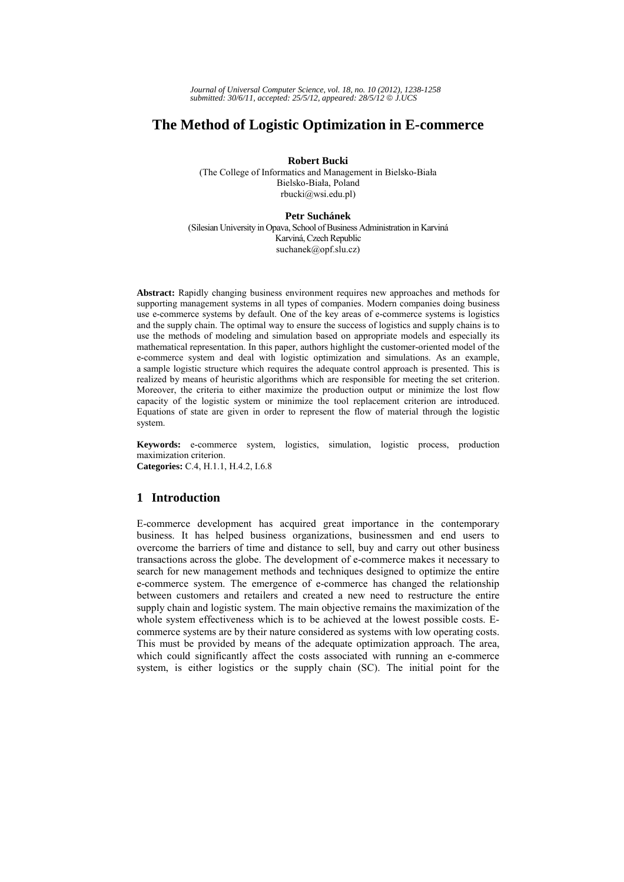# **The Method of Logistic Optimization in E-commerce**

**Robert Bucki** 

(The College of Informatics and Management in Bielsko-Biała Bielsko-Biała, Poland rbucki@wsi.edu.pl)

#### **Petr Suchánek**

(Silesian University in Opava, School of Business Administration in Karviná Karviná, Czech Republic suchanek@opf.slu.cz)

**Abstract:** Rapidly changing business environment requires new approaches and methods for supporting management systems in all types of companies. Modern companies doing business use e-commerce systems by default. One of the key areas of e-commerce systems is logistics and the supply chain. The optimal way to ensure the success of logistics and supply chains is to use the methods of modeling and simulation based on appropriate models and especially its mathematical representation. In this paper, authors highlight the customer-oriented model of the e-commerce system and deal with logistic optimization and simulations. As an example, a sample logistic structure which requires the adequate control approach is presented. This is realized by means of heuristic algorithms which are responsible for meeting the set criterion. Moreover, the criteria to either maximize the production output or minimize the lost flow capacity of the logistic system or minimize the tool replacement criterion are introduced. Equations of state are given in order to represent the flow of material through the logistic system.

**Keywords:** e-commerce system, logistics, simulation, logistic process, production maximization criterion. **Categories:** C.4, H.1.1, H.4.2, I.6.8

## **1 Introduction**

E-commerce development has acquired great importance in the contemporary business. It has helped business organizations, businessmen and end users to overcome the barriers of time and distance to sell, buy and carry out other business transactions across the globe. The development of e-commerce makes it necessary to search for new management methods and techniques designed to optimize the entire e-commerce system. The emergence of e-commerce has changed the relationship between customers and retailers and created a new need to restructure the entire supply chain and logistic system. The main objective remains the maximization of the whole system effectiveness which is to be achieved at the lowest possible costs. Ecommerce systems are by their nature considered as systems with low operating costs. This must be provided by means of the adequate optimization approach. The area, which could significantly affect the costs associated with running an e-commerce system, is either logistics or the supply chain (SC). The initial point for the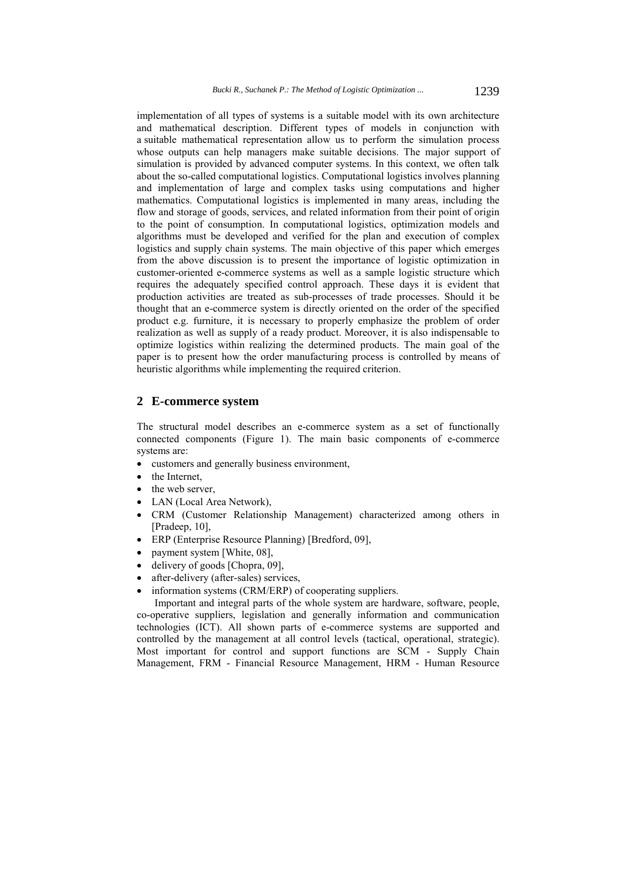implementation of all types of systems is a suitable model with its own architecture and mathematical description. Different types of models in conjunction with a suitable mathematical representation allow us to perform the simulation process whose outputs can help managers make suitable decisions. The major support of simulation is provided by advanced computer systems. In this context, we often talk about the so-called computational logistics. Computational logistics involves planning and implementation of large and complex tasks using computations and higher mathematics. Computational logistics is implemented in many areas, including the flow and storage of goods, services, and related information from their point of origin to the point of consumption. In computational logistics, optimization models and algorithms must be developed and verified for the plan and execution of complex logistics and supply chain systems. The main objective of this paper which emerges from the above discussion is to present the importance of logistic optimization in customer-oriented e-commerce systems as well as a sample logistic structure which requires the adequately specified control approach. These days it is evident that production activities are treated as sub-processes of trade processes. Should it be thought that an e-commerce system is directly oriented on the order of the specified product e.g. furniture, it is necessary to properly emphasize the problem of order realization as well as supply of a ready product. Moreover, it is also indispensable to optimize logistics within realizing the determined products. The main goal of the paper is to present how the order manufacturing process is controlled by means of heuristic algorithms while implementing the required criterion.

## **2 E-commerce system**

The structural model describes an e-commerce system as a set of functionally connected components (Figure 1). The main basic components of e-commerce systems are:

- customers and generally business environment,
- the Internet,
- the web server
- LAN (Local Area Network),
- CRM (Customer Relationship Management) characterized among others in [Pradeep, 10],
- ERP (Enterprise Resource Planning) [Bredford, 09],
- payment system [White, 08],
- delivery of goods [Chopra, 09],
- after-delivery (after-sales) services,
- information systems (CRM/ERP) of cooperating suppliers.

Important and integral parts of the whole system are hardware, software, people, co-operative suppliers, legislation and generally information and communication technologies (ICT). All shown parts of e-commerce systems are supported and controlled by the management at all control levels (tactical, operational, strategic). Most important for control and support functions are SCM - Supply Chain Management, FRM - Financial Resource Management, HRM - Human Resource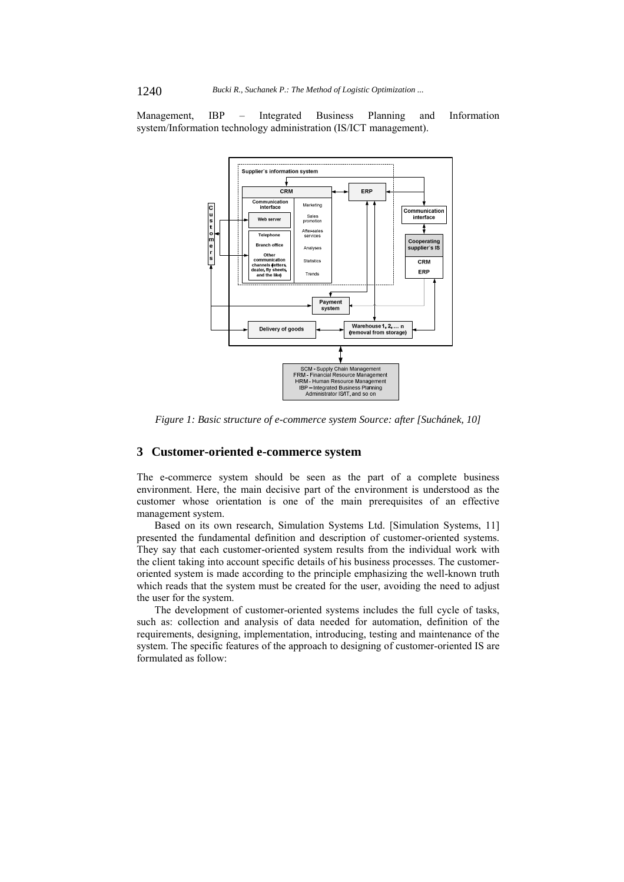Management, IBP – Integrated Business Planning and Information system/Information technology administration (IS/ICT management).



*Figure 1: Basic structure of e-commerce system Source: after [Suchánek, 10]* 

## **3 Customer-oriented e-commerce system**

The e-commerce system should be seen as the part of a complete business environment. Here, the main decisive part of the environment is understood as the customer whose orientation is one of the main prerequisites of an effective management system.

Based on its own research, Simulation Systems Ltd. [Simulation Systems, 11] presented the fundamental definition and description of customer-oriented systems. They say that each customer-oriented system results from the individual work with the client taking into account specific details of his business processes. The customeroriented system is made according to the principle emphasizing the well-known truth which reads that the system must be created for the user, avoiding the need to adjust the user for the system.

The development of customer-oriented systems includes the full cycle of tasks, such as: collection and analysis of data needed for automation, definition of the requirements, designing, implementation, introducing, testing and maintenance of the system. The specific features of the approach to designing of customer-oriented IS are formulated as follow: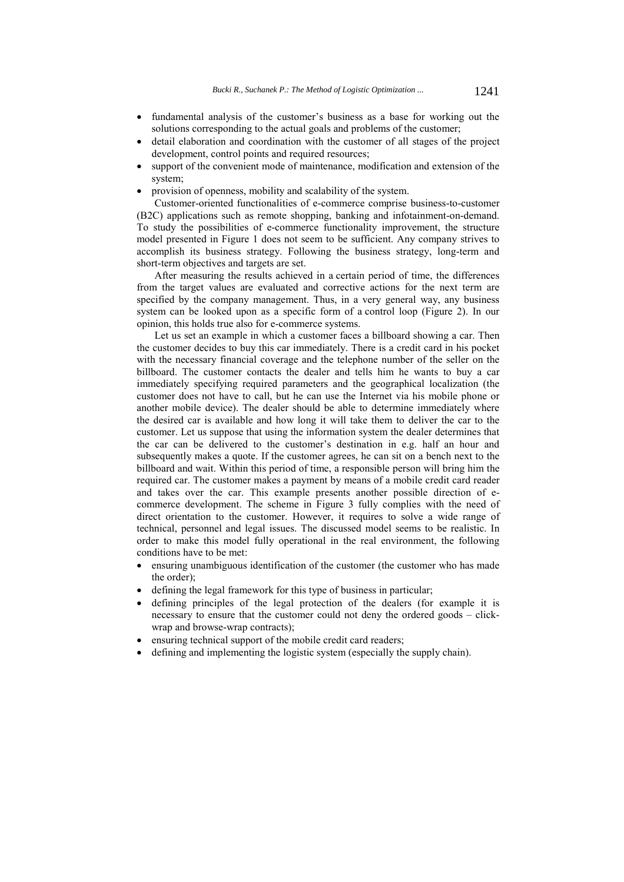- fundamental analysis of the customer's business as a base for working out the solutions corresponding to the actual goals and problems of the customer;
- detail elaboration and coordination with the customer of all stages of the project development, control points and required resources;
- support of the convenient mode of maintenance, modification and extension of the system;
- provision of openness, mobility and scalability of the system.

Customer-oriented functionalities of e-commerce comprise business-to-customer (B2C) applications such as remote shopping, banking and infotainment-on-demand. To study the possibilities of e-commerce functionality improvement, the structure model presented in Figure 1 does not seem to be sufficient. Any company strives to accomplish its business strategy. Following the business strategy, long-term and short-term objectives and targets are set.

After measuring the results achieved in a certain period of time, the differences from the target values are evaluated and corrective actions for the next term are specified by the company management. Thus, in a very general way, any business system can be looked upon as a specific form of a control loop (Figure 2). In our opinion, this holds true also for e-commerce systems.

Let us set an example in which a customer faces a billboard showing a car. Then the customer decides to buy this car immediately. There is a credit card in his pocket with the necessary financial coverage and the telephone number of the seller on the billboard. The customer contacts the dealer and tells him he wants to buy a car immediately specifying required parameters and the geographical localization (the customer does not have to call, but he can use the Internet via his mobile phone or another mobile device). The dealer should be able to determine immediately where the desired car is available and how long it will take them to deliver the car to the customer. Let us suppose that using the information system the dealer determines that the car can be delivered to the customer's destination in e.g. half an hour and subsequently makes a quote. If the customer agrees, he can sit on a bench next to the billboard and wait. Within this period of time, a responsible person will bring him the required car. The customer makes a payment by means of a mobile credit card reader and takes over the car. This example presents another possible direction of ecommerce development. The scheme in Figure 3 fully complies with the need of direct orientation to the customer. However, it requires to solve a wide range of technical, personnel and legal issues. The discussed model seems to be realistic. In order to make this model fully operational in the real environment, the following conditions have to be met:

- ensuring unambiguous identification of the customer (the customer who has made the order);
- defining the legal framework for this type of business in particular;
- defining principles of the legal protection of the dealers (for example it is necessary to ensure that the customer could not deny the ordered goods – clickwrap and browse-wrap contracts);
- ensuring technical support of the mobile credit card readers;
- defining and implementing the logistic system (especially the supply chain).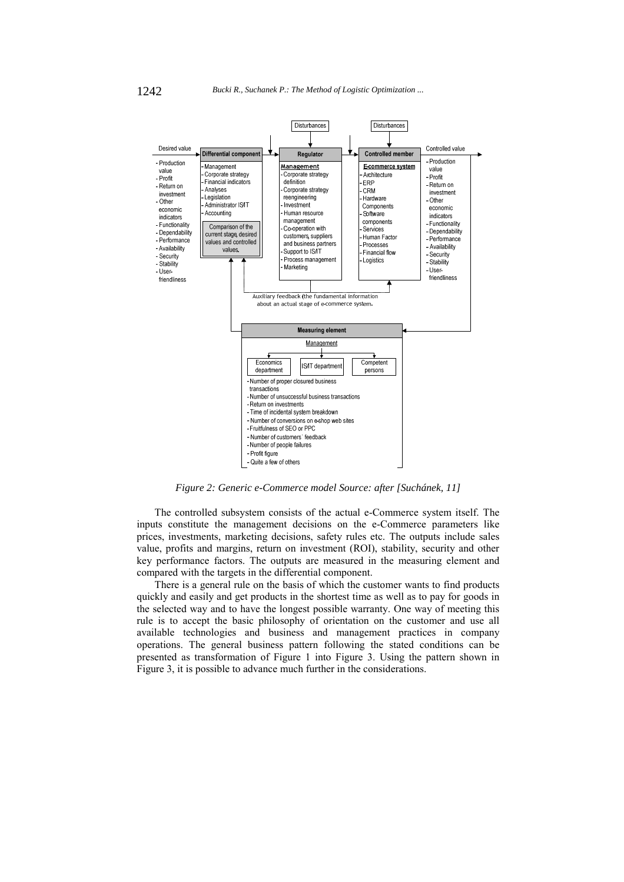

*Figure 2: Generic e-Commerce model Source: after [Suchánek, 11]* 

The controlled subsystem consists of the actual e-Commerce system itself. The inputs constitute the management decisions on the e-Commerce parameters like prices, investments, marketing decisions, safety rules etc. The outputs include sales value, profits and margins, return on investment (ROI), stability, security and other key performance factors. The outputs are measured in the measuring element and compared with the targets in the differential component.

There is a general rule on the basis of which the customer wants to find products quickly and easily and get products in the shortest time as well as to pay for goods in the selected way and to have the longest possible warranty. One way of meeting this rule is to accept the basic philosophy of orientation on the customer and use all available technologies and business and management practices in company operations. The general business pattern following the stated conditions can be presented as transformation of Figure 1 into Figure 3. Using the pattern shown in Figure 3, it is possible to advance much further in the considerations.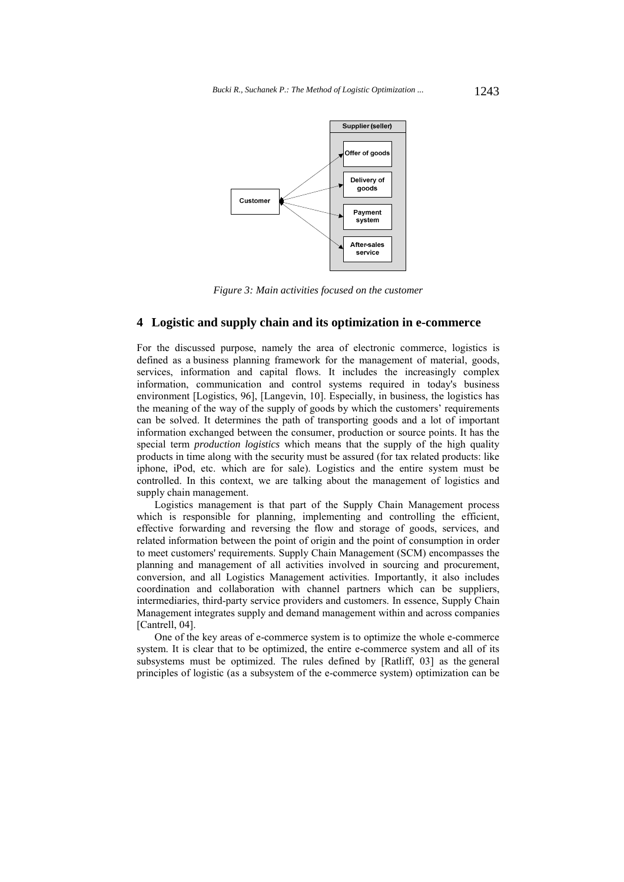

*Figure 3: Main activities focused on the customer* 

## **4 Logistic and supply chain and its optimization in e-commerce**

For the discussed purpose, namely the area of electronic commerce, logistics is defined as a business planning framework for the management of material, goods, services, information and capital flows. It includes the increasingly complex information, communication and control systems required in today's business environment [Logistics, 96], [Langevin, 10]. Especially, in business, the logistics has the meaning of the way of the supply of goods by which the customers' requirements can be solved. It determines the path of transporting goods and a lot of important information exchanged between the consumer, production or source points. It has the special term *production logistics* which means that the supply of the high quality products in time along with the security must be assured (for tax related products: like iphone, iPod, etc. which are for sale). Logistics and the entire system must be controlled. In this context, we are talking about the management of logistics and supply chain management.

Logistics management is that part of the Supply Chain Management process which is responsible for planning, implementing and controlling the efficient, effective forwarding and reversing the flow and storage of goods, services, and related information between the point of origin and the point of consumption in order to meet customers' requirements. Supply Chain Management (SCM) encompasses the planning and management of all activities involved in sourcing and procurement, conversion, and all Logistics Management activities. Importantly, it also includes coordination and collaboration with channel partners which can be suppliers, intermediaries, third-party service providers and customers. In essence, Supply Chain Management integrates supply and demand management within and across companies [Cantrell, 04].

One of the key areas of e-commerce system is to optimize the whole e-commerce system. It is clear that to be optimized, the entire e-commerce system and all of its subsystems must be optimized. The rules defined by [Ratliff, 03] as the general principles of logistic (as a subsystem of the e-commerce system) optimization can be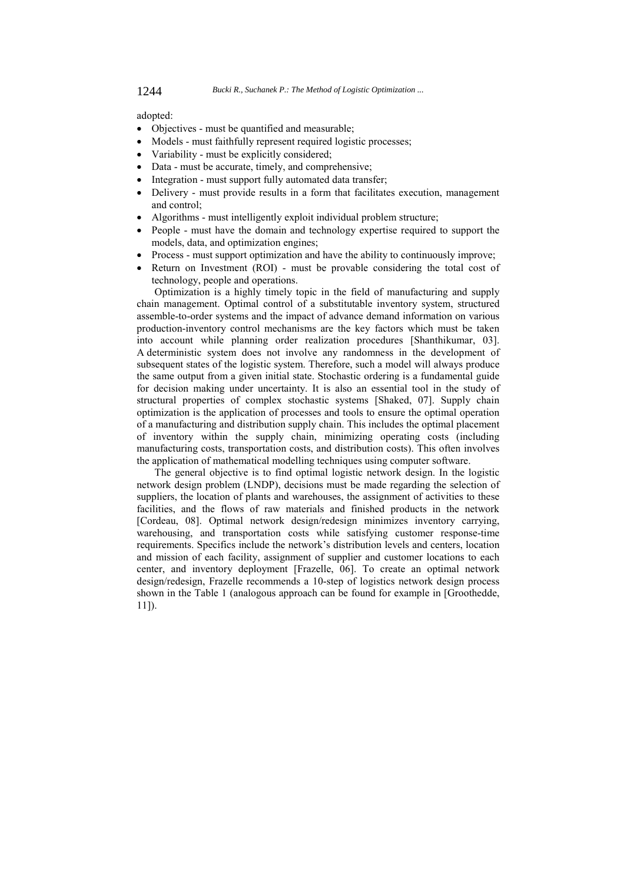adopted:

- Objectives must be quantified and measurable;
- Models must faithfully represent required logistic processes;
- Variability must be explicitly considered;
- Data must be accurate, timely, and comprehensive;
- Integration must support fully automated data transfer;
- Delivery must provide results in a form that facilitates execution, management and control;
- Algorithms must intelligently exploit individual problem structure;
- People must have the domain and technology expertise required to support the models, data, and optimization engines;
- Process must support optimization and have the ability to continuously improve;
- Return on Investment (ROI) must be provable considering the total cost of technology, people and operations.

Optimization is a highly timely topic in the field of manufacturing and supply chain management. Optimal control of a substitutable inventory system, structured assemble-to-order systems and the impact of advance demand information on various production-inventory control mechanisms are the key factors which must be taken into account while planning order realization procedures [Shanthikumar, 03]. A deterministic system does not involve any randomness in the development of subsequent states of the logistic system. Therefore, such a model will always produce the same output from a given initial state. Stochastic ordering is a fundamental guide for decision making under uncertainty. It is also an essential tool in the study of structural properties of complex stochastic systems [Shaked, 07]. Supply chain optimization is the application of processes and tools to ensure the optimal operation of a manufacturing and distribution supply chain. This includes the optimal placement of inventory within the supply chain, minimizing operating costs (including manufacturing costs, transportation costs, and distribution costs). This often involves the application of mathematical modelling techniques using computer software.

The general objective is to find optimal logistic network design. In the logistic network design problem (LNDP), decisions must be made regarding the selection of suppliers, the location of plants and warehouses, the assignment of activities to these facilities, and the flows of raw materials and finished products in the network [Cordeau, 08]. Optimal network design/redesign minimizes inventory carrying, warehousing, and transportation costs while satisfying customer response-time requirements. Specifics include the network's distribution levels and centers, location and mission of each facility, assignment of supplier and customer locations to each center, and inventory deployment [Frazelle, 06]. To create an optimal network design/redesign, Frazelle recommends a 10-step of logistics network design process shown in the Table 1 (analogous approach can be found for example in [Groothedde, 11]).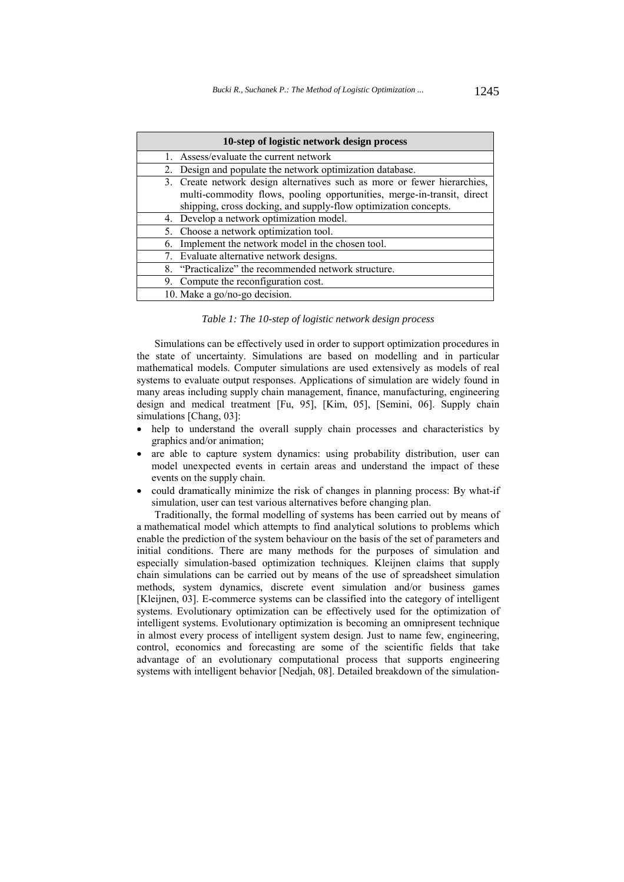| 10-step of logistic network design process                                                                                                                                                                            |
|-----------------------------------------------------------------------------------------------------------------------------------------------------------------------------------------------------------------------|
| Assess/evaluate the current network                                                                                                                                                                                   |
| 2. Design and populate the network optimization database.                                                                                                                                                             |
| 3. Create network design alternatives such as more or fewer hierarchies,<br>multi-commodity flows, pooling opportunities, merge-in-transit, direct<br>shipping, cross docking, and supply-flow optimization concepts. |
| 4. Develop a network optimization model.                                                                                                                                                                              |
| 5. Choose a network optimization tool.                                                                                                                                                                                |
| 6. Implement the network model in the chosen tool.                                                                                                                                                                    |
| 7. Evaluate alternative network designs.                                                                                                                                                                              |
| 8. "Practicalize" the recommended network structure.                                                                                                                                                                  |
| 9. Compute the reconfiguration cost.                                                                                                                                                                                  |
| 10. Make a go/no-go decision.                                                                                                                                                                                         |

*Table 1: The 10-step of logistic network design process* 

Simulations can be effectively used in order to support optimization procedures in the state of uncertainty. Simulations are based on modelling and in particular mathematical models. Computer simulations are used extensively as models of real systems to evaluate output responses. Applications of simulation are widely found in many areas including supply chain management, finance, manufacturing, engineering design and medical treatment [Fu, 95], [Kim, 05], [Semini, 06]. Supply chain simulations [Chang, 03]:

- help to understand the overall supply chain processes and characteristics by graphics and/or animation;
- are able to capture system dynamics: using probability distribution, user can model unexpected events in certain areas and understand the impact of these events on the supply chain.
- could dramatically minimize the risk of changes in planning process: By what-if simulation, user can test various alternatives before changing plan.

Traditionally, the formal modelling of systems has been carried out by means of a mathematical model which attempts to find analytical solutions to problems which enable the prediction of the system behaviour on the basis of the set of parameters and initial conditions. There are many methods for the purposes of simulation and especially simulation-based optimization techniques. Kleijnen claims that supply chain simulations can be carried out by means of the use of spreadsheet simulation methods, system dynamics, discrete event simulation and/or business games [Kleijnen, 03]. E-commerce systems can be classified into the category of intelligent systems. Evolutionary optimization can be effectively used for the optimization of intelligent systems. Evolutionary optimization is becoming an omnipresent technique in almost every process of intelligent system design. Just to name few, engineering, control, economics and forecasting are some of the scientific fields that take advantage of an evolutionary computational process that supports engineering systems with intelligent behavior [Nedjah, 08]. Detailed breakdown of the simulation-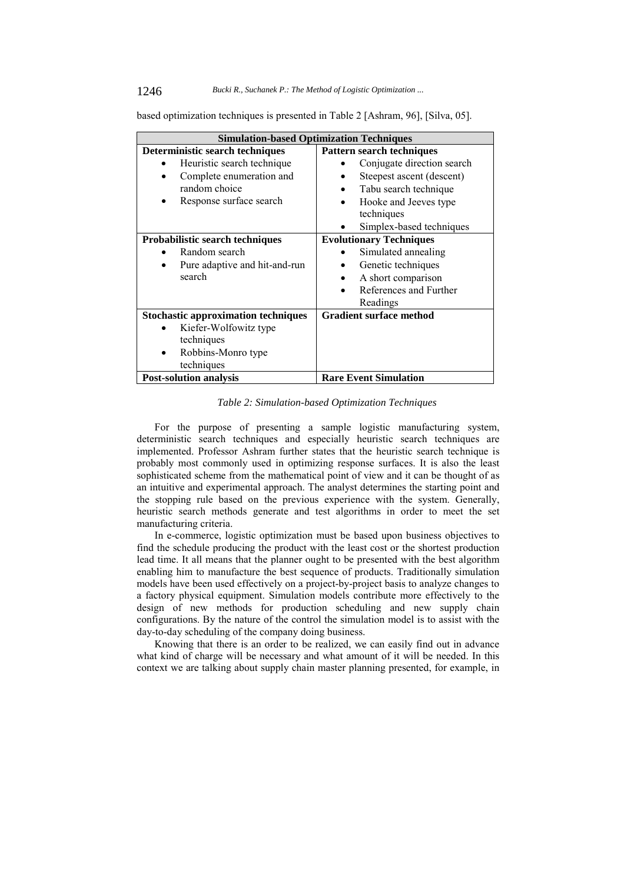#### 1246 *Bucki R., Suchanek P.: The Method of Logistic Optimization ...*

based optimization techniques is presented in Table 2 [Ashram, 96], [Silva, 05].

| <b>Simulation-based Optimization Techniques</b> |                                  |  |  |  |  |
|-------------------------------------------------|----------------------------------|--|--|--|--|
| Deterministic search techniques                 | <b>Pattern search techniques</b> |  |  |  |  |
| Heuristic search technique                      | Conjugate direction search       |  |  |  |  |
| Complete enumeration and                        | Steepest ascent (descent)        |  |  |  |  |
| random choice                                   | Tabu search technique            |  |  |  |  |
| Response surface search                         | Hooke and Jeeves type            |  |  |  |  |
|                                                 | techniques                       |  |  |  |  |
|                                                 | Simplex-based techniques         |  |  |  |  |
| <b>Probabilistic search techniques</b>          | <b>Evolutionary Techniques</b>   |  |  |  |  |
| Random search                                   | Simulated annealing              |  |  |  |  |
| Pure adaptive and hit-and-run<br>٠              | Genetic techniques               |  |  |  |  |
| search                                          | A short comparison               |  |  |  |  |
|                                                 | References and Further           |  |  |  |  |
|                                                 | Readings                         |  |  |  |  |
| <b>Stochastic approximation techniques</b>      | <b>Gradient surface method</b>   |  |  |  |  |
| Kiefer-Wolfowitz type                           |                                  |  |  |  |  |
| techniques                                      |                                  |  |  |  |  |
| Robbins-Monro type                              |                                  |  |  |  |  |
| techniques                                      |                                  |  |  |  |  |
| <b>Post-solution analysis</b>                   | <b>Rare Event Simulation</b>     |  |  |  |  |
|                                                 |                                  |  |  |  |  |

#### *Table 2: Simulation-based Optimization Techniques*

For the purpose of presenting a sample logistic manufacturing system, deterministic search techniques and especially heuristic search techniques are implemented. Professor Ashram further states that the heuristic search technique is probably most commonly used in optimizing response surfaces. It is also the least sophisticated scheme from the mathematical point of view and it can be thought of as an intuitive and experimental approach. The analyst determines the starting point and the stopping rule based on the previous experience with the system. Generally, heuristic search methods generate and test algorithms in order to meet the set manufacturing criteria.

In e-commerce, logistic optimization must be based upon business objectives to find the schedule producing the product with the least cost or the shortest production lead time. It all means that the planner ought to be presented with the best algorithm enabling him to manufacture the best sequence of products. Traditionally simulation models have been used effectively on a project-by-project basis to analyze changes to a factory physical equipment. Simulation models contribute more effectively to the design of new methods for production scheduling and new supply chain configurations. By the nature of the control the simulation model is to assist with the day-to-day scheduling of the company doing business.

Knowing that there is an order to be realized, we can easily find out in advance what kind of charge will be necessary and what amount of it will be needed. In this context we are talking about supply chain master planning presented, for example, in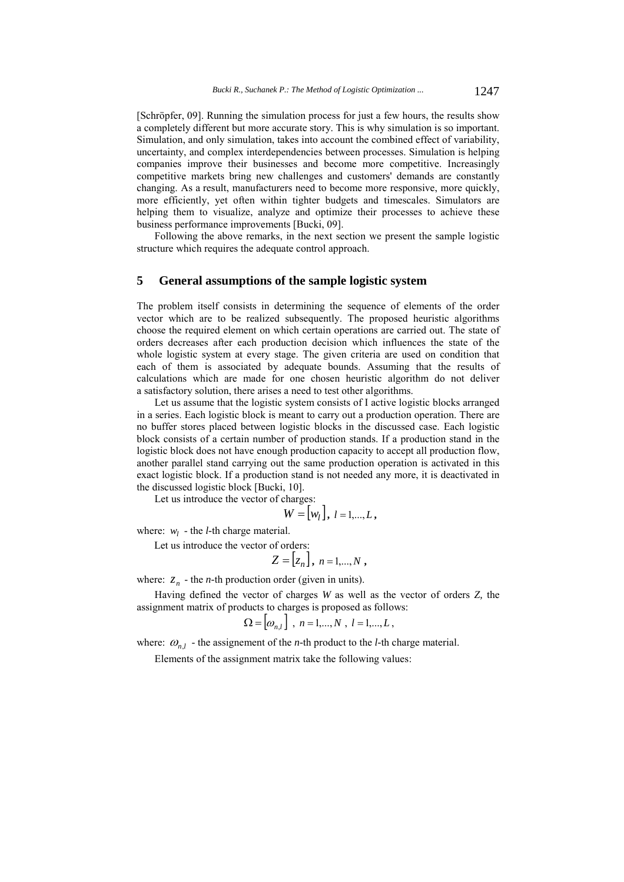[Schröpfer, 09]. Running the simulation process for just a few hours, the results show a completely different but more accurate story. This is why simulation is so important. Simulation, and only simulation, takes into account the combined effect of variability, uncertainty, and complex interdependencies between processes. Simulation is helping companies improve their businesses and become more competitive. Increasingly competitive markets bring new challenges and customers' demands are constantly changing. As a result, manufacturers need to become more responsive, more quickly, more efficiently, yet often within tighter budgets and timescales. Simulators are helping them to visualize, analyze and optimize their processes to achieve these business performance improvements [Bucki, 09].

Following the above remarks, in the next section we present the sample logistic structure which requires the adequate control approach.

### **5 General assumptions of the sample logistic system**

The problem itself consists in determining the sequence of elements of the order vector which are to be realized subsequently. The proposed heuristic algorithms choose the required element on which certain operations are carried out. The state of orders decreases after each production decision which influences the state of the whole logistic system at every stage. The given criteria are used on condition that each of them is associated by adequate bounds. Assuming that the results of calculations which are made for one chosen heuristic algorithm do not deliver a satisfactory solution, there arises a need to test other algorithms.

Let us assume that the logistic system consists of I active logistic blocks arranged in a series. Each logistic block is meant to carry out a production operation. There are no buffer stores placed between logistic blocks in the discussed case. Each logistic block consists of a certain number of production stands. If a production stand in the logistic block does not have enough production capacity to accept all production flow, another parallel stand carrying out the same production operation is activated in this exact logistic block. If a production stand is not needed any more, it is deactivated in the discussed logistic block [Bucki, 10].

Let us introduce the vector of charges:

$$
W = [w_l], l = 1,...,L,
$$

where:  $w_l$  - the *l*-th charge material.

Let us introduce the vector of orders:

$$
Z=[z_n], n=1,\ldots,N,
$$

where:  $z_n$  - the *n*-th production order (given in units).

Having defined the vector of charges *W* as well as the vector of orders *Z,* the assignment matrix of products to charges is proposed as follows:

$$
\Omega = [ \omega_{n,l} ] , n = 1,...,N , l = 1,...,L ,
$$

where:  $\omega_{n,l}$  - the assignement of the *n*-th product to the *l*-th charge material.

Elements of the assignment matrix take the following values: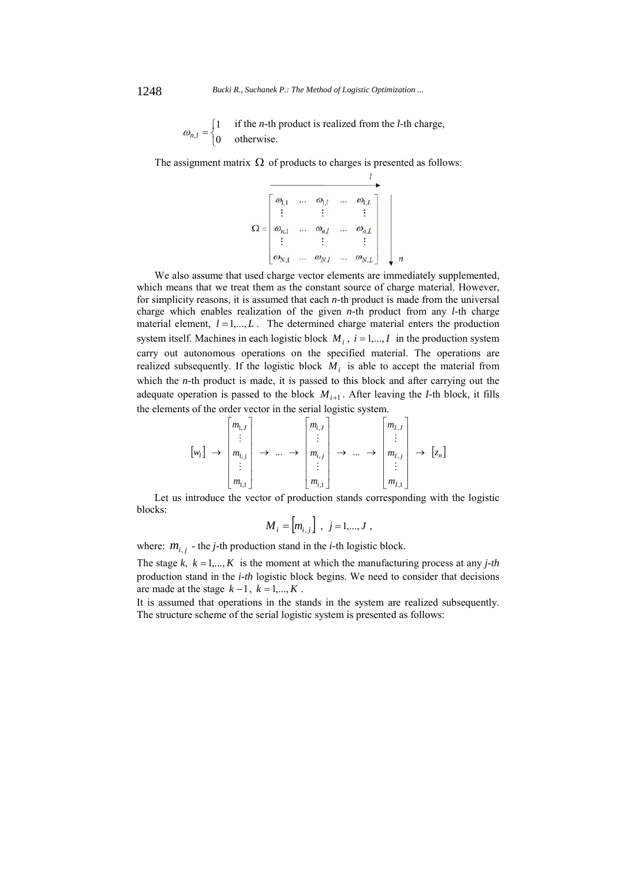$\overline{\mathfrak{l}}$  $=\begin{cases} 1 \\ 0 \end{cases}$  $\omega_{n,l}$ if the *n-*th product is realized from the *l-*th charge, otherwise.

The assignment matrix  $\Omega$  of products to charges is presented as follows:

 $\Omega = \begin{bmatrix} \omega_{\mathbf{l},1} & \ldots & \omega_{\mathbf{l},l} & \ldots & \omega_{\mathbf{l},L} \\ \vdots & & \vdots & & \vdots \\ \omega_{n,1} & \ldots & \omega_{n,l} & \ldots & \omega_{n,L} \\ \vdots & & \vdots & & \vdots \\ \omega_{N,1} & \ldots & \omega_{N,l} & \ldots & \omega_{N,L} \end{bmatrix}$ 

We also assume that used charge vector elements are immediately supplemented, which means that we treat them as the constant source of charge material. However, for simplicity reasons, it is assumed that each *n-*th product is made from the universal charge which enables realization of the given *n-*th product from any *l-*th charge material element,  $l = 1, \ldots, L$ . The determined charge material enters the production system itself. Machines in each logistic block  $M_i$ ,  $i = 1,..., I$  in the production system carry out autonomous operations on the specified material. The operations are realized subsequently. If the logistic block  $M_i$  is able to accept the material from which the *n*-th product is made, it is passed to this block and after carrying out the adequate operation is passed to the block  $M_{i+1}$ . After leaving the *I*-th block, it fills the elements of the order vector in the serial logistic system.

$$
\begin{bmatrix} w_l \end{bmatrix} \rightarrow \begin{bmatrix} m_{l,J} \\ \vdots \\ m_{l,j} \\ \vdots \\ m_{l,1} \end{bmatrix} \rightarrow \dots \rightarrow \begin{bmatrix} m_{i,J} \\ \vdots \\ m_{i,j} \\ \vdots \\ m_{l,1} \end{bmatrix} \rightarrow \dots \rightarrow \begin{bmatrix} m_{I,J} \\ \vdots \\ m_{I,j} \\ \vdots \\ m_{I,1} \end{bmatrix} \rightarrow [z_n]
$$

Let us introduce the vector of production stands corresponding with the logistic blocks:

$$
M_{i} = [m_{i,j}], \; j = 1,...,J,
$$

where:  $m_{i,j}$  - the *j*-th production stand in the *i*-th logistic block.

The stage  $k$ ,  $k = 1,..., K$  is the moment at which the manufacturing process at any *j*-th production stand in the *i-th* logistic block begins. We need to consider that decisions are made at the stage  $k-1$ ,  $k=1,...,K$ .

It is assumed that operations in the stands in the system are realized subsequently. The structure scheme of the serial logistic system is presented as follows: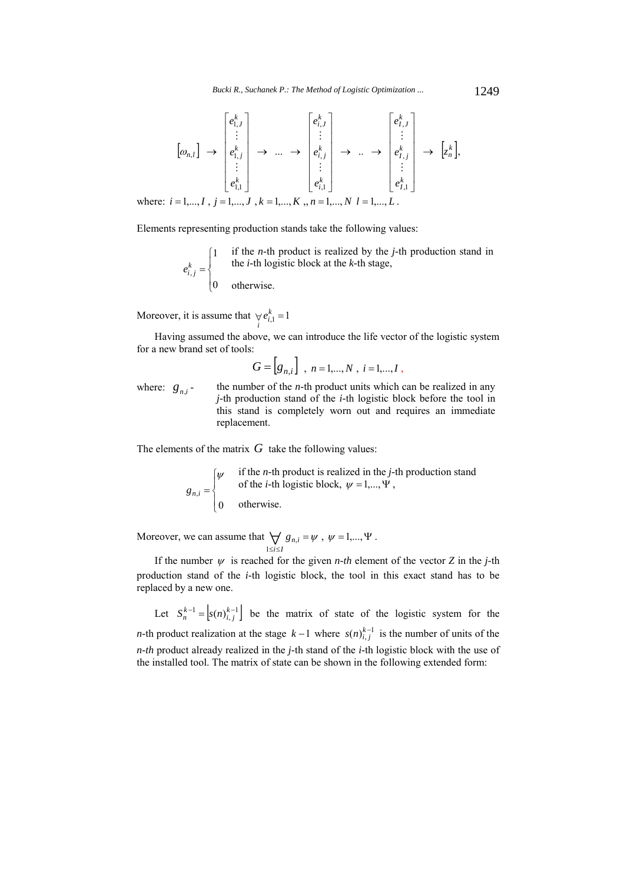$$
[\omega_{n,l}] \rightarrow \begin{bmatrix} e_{1,J}^k \\ \vdots \\ e_{1,j}^k \\ \vdots \\ e_{1,1}^k \end{bmatrix} \rightarrow \dots \rightarrow \begin{bmatrix} e_{i,J}^k \\ \vdots \\ e_{i,j}^k \\ \vdots \\ e_{i,1}^k \end{bmatrix} \rightarrow \dots \rightarrow \begin{bmatrix} e_{i,J}^k \\ \vdots \\ e_{i,j}^k \\ \vdots \\ e_{i,1}^k \end{bmatrix} \rightarrow \dots \rightarrow \begin{bmatrix} e_{1,J}^k \\ \vdots \\ e_{1,J}^k \\ \vdots \\ e_{I,1}^k \end{bmatrix} \rightarrow [\mathbf{z}_n^k],
$$

where:  $i = 1,..., I$ ,  $j = 1,..., J$ ,  $k = 1,..., K$ ,  $n = 1,..., N$ ,  $l = 1,..., L$ .

Elements representing production stands take the following values:

 $\overline{\mathcal{L}}$  $\int$  $\int$  $=$ 0 1  $e_{i,j}^k$ if the *n-*th product is realized by the *j-*th production stand in the *i-*th logistic block at the *k-*th stage, otherwise.

Moreover, it is assume that  $\forall e_{i,1}^k = 1$ *i*

Having assumed the above, we can introduce the life vector of the logistic system for a new brand set of tools:

 $G = [g_{n,i}]$ ,  $n = 1,...,N$ ,  $i = 1,...,I$ ,

where:  $g_{ni}$  - the number of the *n*-th product units which can be realized in any *j-*th production stand of the *i-*th logistic block before the tool in this stand is completely worn out and requires an immediate replacement.

The elements of the matrix  $G$  take the following values:

$$
g_{n,i} = \begin{cases} \psi & \text{if the } n\text{-th product is realized in the } j\text{-th production stand} \\ & \text{of the } i\text{-th logistic block, } \psi = 1,..., \Psi, \\ 0 & \text{otherwise.} \end{cases}
$$

Moreover, we can assume that  $\bigvee_{1 \le i \le I} g_{n,i} = \psi$ *n i i I g* , 1 ,  $\psi = 1,..., \Psi$ .

If the number  $\psi$  is reached for the given *n-th* element of the vector *Z* in the *j*-th production stand of the *i-*th logistic block, the tool in this exact stand has to be replaced by a new one.

Let  $S_n^{k-1} = [s(n)]_{i,j}^{k-1}$  be the matrix of state of the logistic system for the *n*-th product realization at the stage  $k-1$  where  $s(n)_{i,j}^{k-1}$  is the number of units of the *n-th* product already realized in the *j-*th stand of the *i-*th logistic block with the use of the installed tool. The matrix of state can be shown in the following extended form: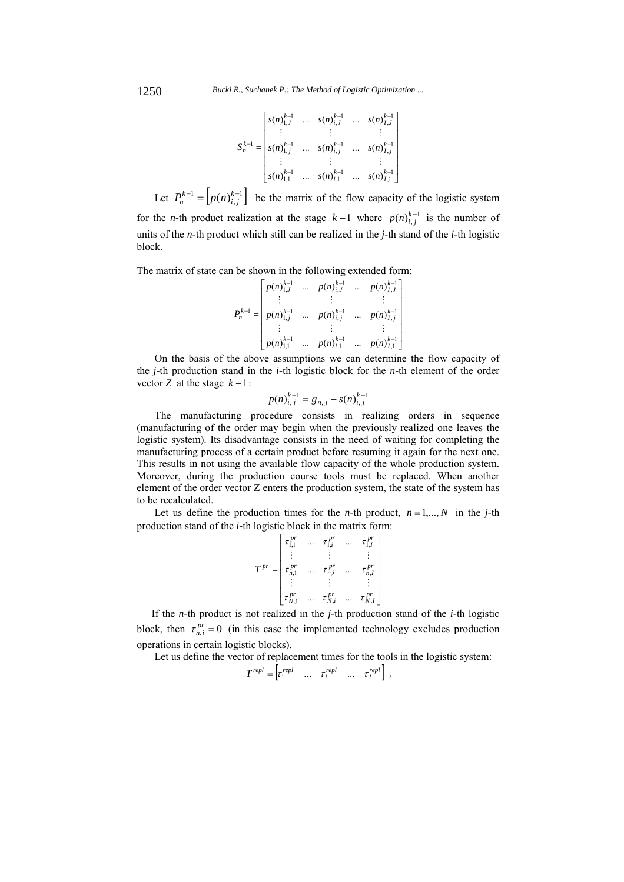$$
S_n^{k-1} = \begin{bmatrix} s(n)_{1,J}^{k-1} & \dots & s(n)_{i,J}^{k-1} & \dots & s(n)_{I,J}^{k-1} \\ \vdots & & \vdots & & \vdots \\ s(n)_{1,J}^{k-1} & \dots & s(n)_{i,J}^{k-1} & \dots & s(n)_{I,j}^{k-1} \\ \vdots & & \vdots & & \vdots \\ s(n)_{1,1}^{k-1} & \dots & s(n)_{i,1}^{k-1} & \dots & s(n)_{I,1}^{k-1} \end{bmatrix}
$$

Let  $P_n^{k-1} = \left[ p(n)_{i,j}^{k-1} \right]$  be the matrix of the flow capacity of the logistic system for the *n*-th product realization at the stage  $k-1$  where  $p(n)_{i,j}^{k-1}$  is the number of units of the *n-*th product which still can be realized in the *j-*th stand of the *i-*th logistic block.

The matrix of state can be shown in the following extended form:

$$
P_n^{k-1} = \begin{bmatrix} p(n)_{1,J}^{k-1} & \dots & p(n)_{i,J}^{k-1} & \dots & p(n)_{I,J}^{k-1} \\ \vdots & & \vdots & & \vdots \\ p(n)_{1,J}^{k-1} & \dots & p(n)_{i,j}^{k-1} & \dots & p(n)_{I,j}^{k-1} \\ \vdots & & \vdots & & \vdots \\ p(n)_{1,1}^{k-1} & \dots & p(n)_{i,1}^{k-1} & \dots & p(n)_{I,1}^{k-1} \end{bmatrix}
$$

On the basis of the above assumptions we can determine the flow capacity of the *j-*th production stand in the *i-*th logistic block for the *n-*th element of the order vector *Z* at the stage  $k-1$  :

$$
p(n)_{i,j}^{k-1} = g_{n,j} - s(n)_{i,j}^{k-1}
$$

The manufacturing procedure consists in realizing orders in sequence (manufacturing of the order may begin when the previously realized one leaves the logistic system). Its disadvantage consists in the need of waiting for completing the manufacturing process of a certain product before resuming it again for the next one. This results in not using the available flow capacity of the whole production system. Moreover, during the production course tools must be replaced. When another element of the order vector Z enters the production system, the state of the system has to be recalculated.

Let us define the production times for the *n*-th product,  $n = 1,..., N$  in the *j*-th production stand of the *i-*th logistic block in the matrix form:

|               | $\tau_{1,1}^{\,pr}$      | $\tau_{1,i}^{P'}$ |          | $\tau^{pr}_{1,I}$ |
|---------------|--------------------------|-------------------|----------|-------------------|
| $T^{pr}$<br>= | $\tau_{n, {\rm l}}^{pr}$ | $\tau_{n,i}^{P'}$ |          | $\tau_{n,I}^{pr}$ |
|               | $\tau^{pr}_{N,1}$        | $\tau^{pr}_{N,i}$ | $\cdots$ | $\tau_{N,I}^{pr}$ |

If the *n-*th product is not realized in the *j-*th production stand of the *i-*th logistic block, then  $\tau_{n,i}^{pr} = 0$  (in this case the implemented technology excludes production operations in certain logistic blocks).

Let us define the vector of replacement times for the tools in the logistic system:

$$
T^{repl} = \begin{bmatrix} \tau_1^{repl} & \dots & \tau_i^{repl} & \dots & \tau_I^{repl} \end{bmatrix},
$$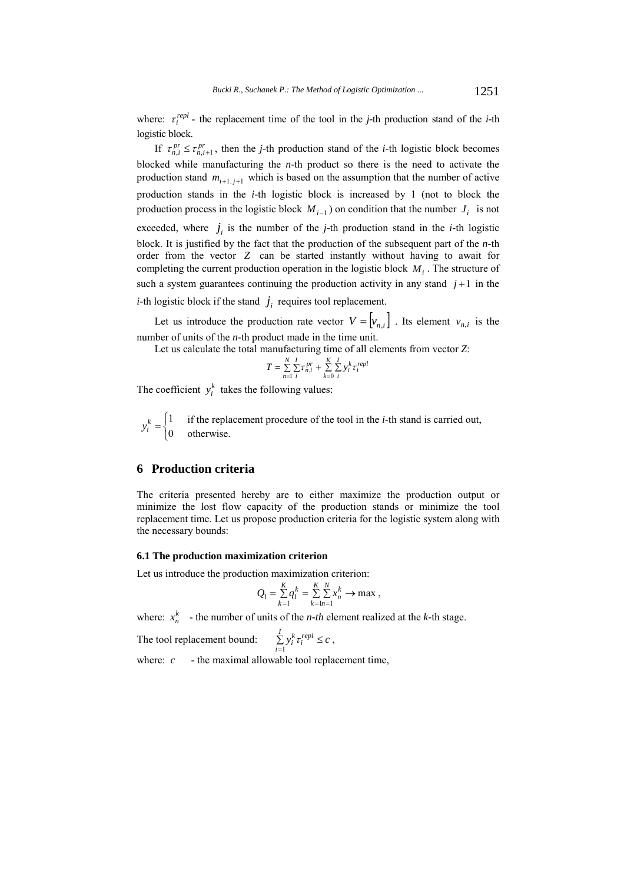where:  $\tau_i^{repl}$  - the replacement time of the tool in the *j*-th production stand of the *i*-th logistic block.

If  $\tau_{n,i}^{pr} \leq \tau_{n,i+1}^{pr}$ , then the *j*-th production stand of the *i*-th logistic block becomes blocked while manufacturing the *n-*th product so there is the need to activate the production stand  $m_{i+1,i+1}$  which is based on the assumption that the number of active production stands in the *i-*th logistic block is increased by 1 (not to block the production process in the logistic block  $M_{i-1}$ ) on condition that the number  $J_i$  is not exceeded, where  $j_i$  is the number of the *j*-th production stand in the *i*-th logistic block. It is justified by the fact that the production of the subsequent part of the *n-*th order from the vector *Z* can be started instantly without having to await for completing the current production operation in the logistic block  $M_i$ . The structure of such a system guarantees continuing the production activity in any stand  $j+1$  in the *i*-th logistic block if the stand  $j_i$  requires tool replacement.

Let us introduce the production rate vector  $V = \begin{vmatrix} v_{n,i} \end{vmatrix}$ . Its element  $v_{n,i}$  is the number of units of the *n-*th product made in the time unit.

Let us calculate the total manufacturing time of all elements from vector *Z*:

$$
T = \sum_{n=1}^{N} \sum_{i}^{I} \tau_{n,i}^{pr} + \sum_{k=0}^{K} \sum_{i}^{I} y_{i}^{k} \tau_{i}^{repl}
$$

The coefficient  $y_i^k$  takes the following values:

 $\overline{\mathfrak{l}}$  $y_i^k = \begin{cases} 1 & \text{if the replacement procedure of the tool in the } i\text{-th stand is carried out,} \\ 0 & \text{otherwise.} \end{cases}$ 

### **6 Production criteria**

The criteria presented hereby are to either maximize the production output or minimize the lost flow capacity of the production stands or minimize the tool replacement time. Let us propose production criteria for the logistic system along with the necessary bounds:

### **6.1 The production maximization criterion**

Let us introduce the production maximization criterion:

$$
Q_1 = \sum_{k=1}^{K} q_1^k = \sum_{k=1}^{K} \sum_{n=1}^{N} x_n^k \to \max
$$
,

,

where:  $x_n^k$  - the number of units of the *n-th* element realized at the *k*-th stage.

The tool replacement bound: *i I*  $\sum_{i=1}^{L} y_i^k \tau_i^{repl} \leq$ 

where:  $c \rightarrow$  the maximal allowable tool replacement time,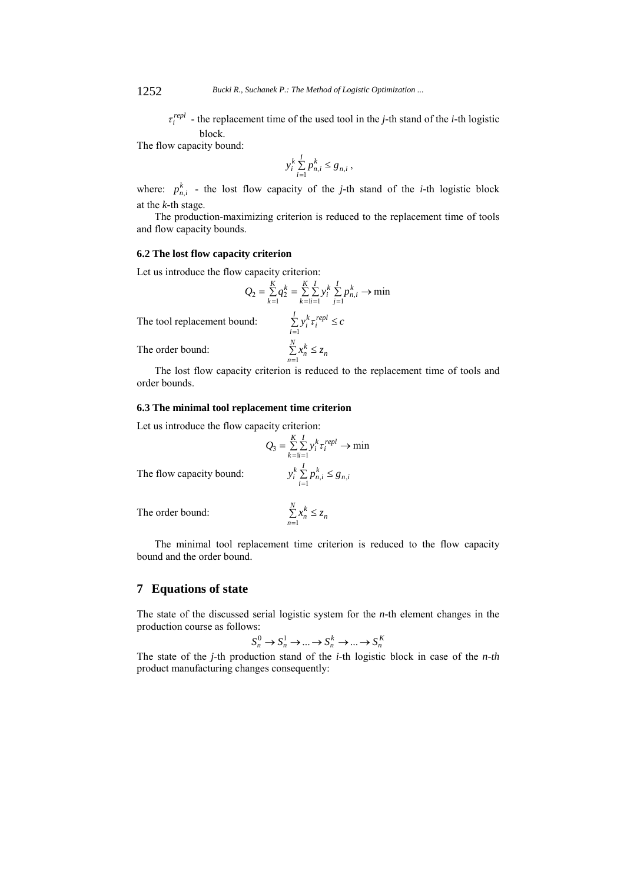$\tau_i^{repl}$  - the replacement time of the used tool in the *j*-th stand of the *i*-th logistic block.

The flow capacity bound:

$$
y_i^k \sum_{i=1}^I p_{n,i}^k \le g_{n,i}
$$
,

where:  $p_{n,i}^k$  - the lost flow capacity of the *j*-th stand of the *i*-th logistic block at the *k-*th stage.

The production-maximizing criterion is reduced to the replacement time of tools and flow capacity bounds.

### **6.2 The lost flow capacity criterion**

Let us introduce the flow capacity criterion:

$$
Q_2 = \sum_{k=1}^{K} q_2^k = \sum_{k=1}^{K} \sum_{i=1}^{I} y_i^k \sum_{j=1}^{I} p_{n,i}^k \to \min
$$
  
nd: 
$$
\sum_{i=1}^{I} y_i^k \tau_i^{repl} \le c
$$

*i*

*N n*  $\sum_{n=1}^n x_n^k \leq z$ 

*N n*  $\sum_{n=1}^n x_n^k \leq z$ 

The tool replacement bound:

The order bound: *<sup>n</sup>*

The lost flow capacity criterion is reduced to the replacement time of tools and order bounds.

### **6.3 The minimal tool replacement time criterion**

Let us introduce the flow capacity criterion:

$$
Q_3 = \sum_{k=1}^{K} \sum_{i=1}^{I} y_i^k \tau_i^{repl} \to \min
$$

$$
y_i^k \sum_{i=1}^{I} p_{n,i}^k \le g_{n,i}
$$

The flow capacity bound:

The order bound: *<sup>n</sup>*

The minimal tool replacement time criterion is reduced to the flow capacity bound and the order bound.

## **7 Equations of state**

The state of the discussed serial logistic system for the *n-*th element changes in the production course as follows:

$$
S_n^0 \to S_n^1 \to \dots \to S_n^k \to \dots \to S_n^K
$$

The state of the *j-*th production stand of the *i-*th logistic block in case of the *n-th* product manufacturing changes consequently: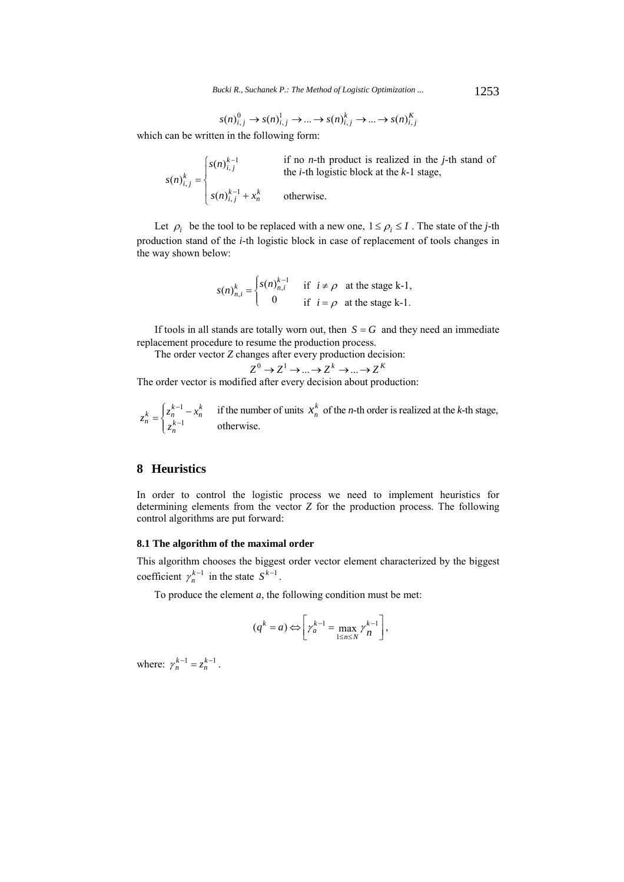$$
s(n)_{i,j}^0 \to s(n)_{i,j}^1 \to \dots \to s(n)_{i,j}^k \to \dots \to s(n)_{i,j}^K
$$

which can be written in the following form:

$$
s(n)_{i,j}^k = \begin{cases} s(n)_{i,j}^{k-1} & \text{if no } n\text{-th product is realized in the } j\text{-th stand of the } i\text{-th logistic block at the } k\text{-1 stage,} \\ s(n)_{i,j}^{k-1} + x_n^k & \text{otherwise.} \end{cases}
$$

Let  $\rho_i$  be the tool to be replaced with a new one,  $1 \le \rho_i \le I$ . The state of the *j*-th production stand of the *i-*th logistic block in case of replacement of tools changes in the way shown below:

$$
s(n)_{n,i}^k = \begin{cases} s(n)_{n,i}^{k-1} & \text{if } i \neq \rho \text{ at the stage k-1,} \\ 0 & \text{if } i = \rho \text{ at the stage k-1.} \end{cases}
$$

If tools in all stands are totally worn out, then  $S = G$  and they need an immediate replacement procedure to resume the production process.

The order vector *Z* changes after every production decision:

$$
Z^{0} \to Z^{1} \to \dots \to Z^{k} \to \dots \to Z^{k}
$$

The order vector is modified after every decision about production:

$$
z_n^k = \begin{cases} z_n^{k-1} - x_n^k & \text{if the number of units } x_n^k \text{ of the } n\text{-th order is realized at the } k\text{-th stage,} \\ z_n^{k-1} & \text{otherwise.} \end{cases}
$$

## **8 Heuristics**

In order to control the logistic process we need to implement heuristics for determining elements from the vector *Z* for the production process. The following control algorithms are put forward:

### **8.1 The algorithm of the maximal order**

This algorithm chooses the biggest order vector element characterized by the biggest coefficient  $\gamma_n^{k-1}$  in the state  $S^{k-1}$ .

To produce the element *a*, the following condition must be met:

$$
(q^k = a) \Leftrightarrow \left[ \gamma_a^{k-1} = \max_{1 \le n \le N} \gamma_n^{k-1} \right],
$$

where:  $\gamma_n^{k-1} = z_n^{k-1}$ .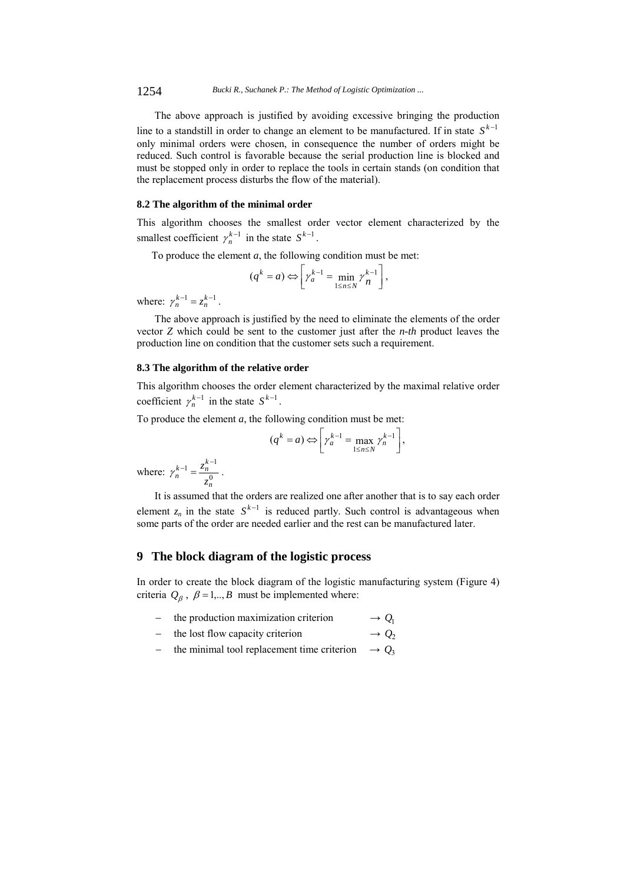1254 *Bucki R., Suchanek P.: The Method of Logistic Optimization ...*

The above approach is justified by avoiding excessive bringing the production line to a standstill in order to change an element to be manufactured. If in state  $S^{k-1}$ only minimal orders were chosen, in consequence the number of orders might be reduced. Such control is favorable because the serial production line is blocked and must be stopped only in order to replace the tools in certain stands (on condition that the replacement process disturbs the flow of the material).

#### **8.2 The algorithm of the minimal order**

This algorithm chooses the smallest order vector element characterized by the smallest coefficient  $\gamma_n^{k-1}$  in the state  $S^{k-1}$ .

To produce the element  $a$ , the following condition must be met:

$$
(q^k = a) \Leftrightarrow \left[ \gamma_a^{k-1} = \min_{1 \le n \le N} \gamma_n^{k-1} \right],
$$

where:  $\gamma_n^{k-1} = z_n^{k-1}$ .

The above approach is justified by the need to eliminate the elements of the order vector *Z* which could be sent to the customer just after the *n-th* product leaves the production line on condition that the customer sets such a requirement.

#### **8.3 The algorithm of the relative order**

This algorithm chooses the order element characterized by the maximal relative order coefficient  $\gamma_n^{k-1}$  in the state  $S^{k-1}$ .

To produce the element *a*, the following condition must be met:

$$
(q^k = a) \Leftrightarrow \left[ \gamma_a^{k-1} = \max_{1 \le n \le N} \gamma_n^{k-1} \right],
$$

where:  $\gamma_n^{k-1} = \frac{2n}{a^0}$  $1 - z_n^{k-1}$ *n*  $\gamma_n^{k-1} = \frac{z_n^{k-1}}{z_n^0}$ .

It is assumed that the orders are realized one after another that is to say each order element  $z_n$  in the state  $S^{k-1}$  is reduced partly. Such control is advantageous when some parts of the order are needed earlier and the rest can be manufactured later.

## **9 The block diagram of the logistic process**

In order to create the block diagram of the logistic manufacturing system (Figure 4) criteria  $Q_{\beta}$ ,  $\beta = 1, \dots, B$  must be implemented where:

- the production maximization criterion  $\rightarrow Q_1$
- the lost flow capacity criterion  $\rightarrow Q_2$
- the minimal tool replacement time criterion  $\rightarrow Q_3$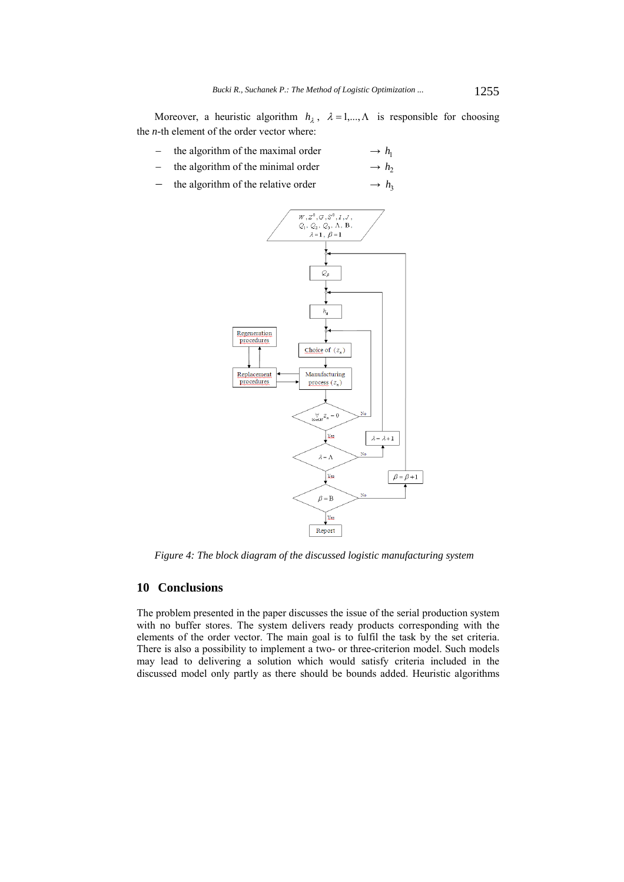Moreover, a heuristic algorithm  $h_{\lambda}$ ,  $\lambda = 1,..., \Lambda$  is responsible for choosing the *n-*th element of the order vector where:

- the algorithm of the maximal order  $\rightarrow h_1$
- the algorithm of the minimal order  $\rightarrow h_2$
- the algorithm of the relative order  $\rightarrow h_3$



*Figure 4: The block diagram of the discussed logistic manufacturing system*

## **10 Conclusions**

The problem presented in the paper discusses the issue of the serial production system with no buffer stores. The system delivers ready products corresponding with the elements of the order vector. The main goal is to fulfil the task by the set criteria. There is also a possibility to implement a two- or three-criterion model. Such models may lead to delivering a solution which would satisfy criteria included in the discussed model only partly as there should be bounds added. Heuristic algorithms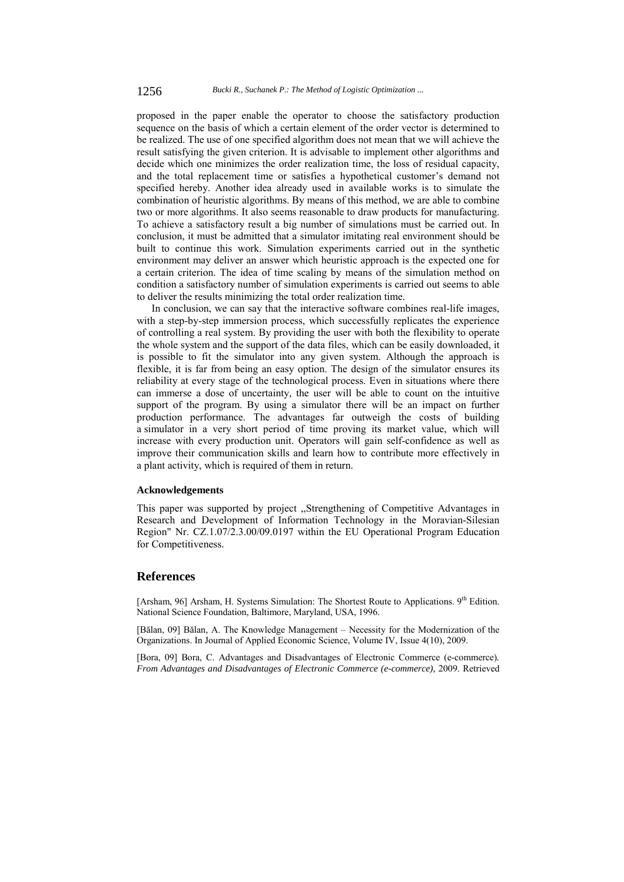proposed in the paper enable the operator to choose the satisfactory production sequence on the basis of which a certain element of the order vector is determined to be realized. The use of one specified algorithm does not mean that we will achieve the result satisfying the given criterion. It is advisable to implement other algorithms and decide which one minimizes the order realization time, the loss of residual capacity, and the total replacement time or satisfies a hypothetical customer's demand not specified hereby. Another idea already used in available works is to simulate the combination of heuristic algorithms. By means of this method, we are able to combine two or more algorithms. It also seems reasonable to draw products for manufacturing. To achieve a satisfactory result a big number of simulations must be carried out. In conclusion, it must be admitted that a simulator imitating real environment should be built to continue this work. Simulation experiments carried out in the synthetic environment may deliver an answer which heuristic approach is the expected one for a certain criterion. The idea of time scaling by means of the simulation method on condition a satisfactory number of simulation experiments is carried out seems to able to deliver the results minimizing the total order realization time.

In conclusion, we can say that the interactive software combines real-life images, with a step-by-step immersion process, which successfully replicates the experience of controlling a real system. By providing the user with both the flexibility to operate the whole system and the support of the data files, which can be easily downloaded, it is possible to fit the simulator into any given system. Although the approach is flexible, it is far from being an easy option. The design of the simulator ensures its reliability at every stage of the technological process. Even in situations where there can immerse a dose of uncertainty, the user will be able to count on the intuitive support of the program. By using a simulator there will be an impact on further production performance. The advantages far outweigh the costs of building a simulator in a very short period of time proving its market value, which will increase with every production unit. Operators will gain self-confidence as well as improve their communication skills and learn how to contribute more effectively in a plant activity, which is required of them in return.

#### **Acknowledgements**

This paper was supported by project ,,Strengthening of Competitive Advantages in Research and Development of Information Technology in the Moravian-Silesian Region" Nr. CZ.1.07/2.3.00/09.0197 within the EU Operational Program Education for Competitiveness.

### **References**

[Arsham, 96] Arsham, H. Systems Simulation: The Shortest Route to Applications. 9<sup>th</sup> Edition. National Science Foundation, Baltimore, Maryland, USA, 1996.

[Bălan, 09] Bălan, A. The Knowledge Management – Necessity for the Modernization of the Organizations. In Journal of Applied Economic Science, Volume IV, Issue 4(10), 2009.

[Bora, 09] Bora, C. Advantages and Disadvantages of Electronic Commerce (e-commerce)*. From Advantages and Disadvantages of Electronic Commerce (e-commerce),* 2009. Retrieved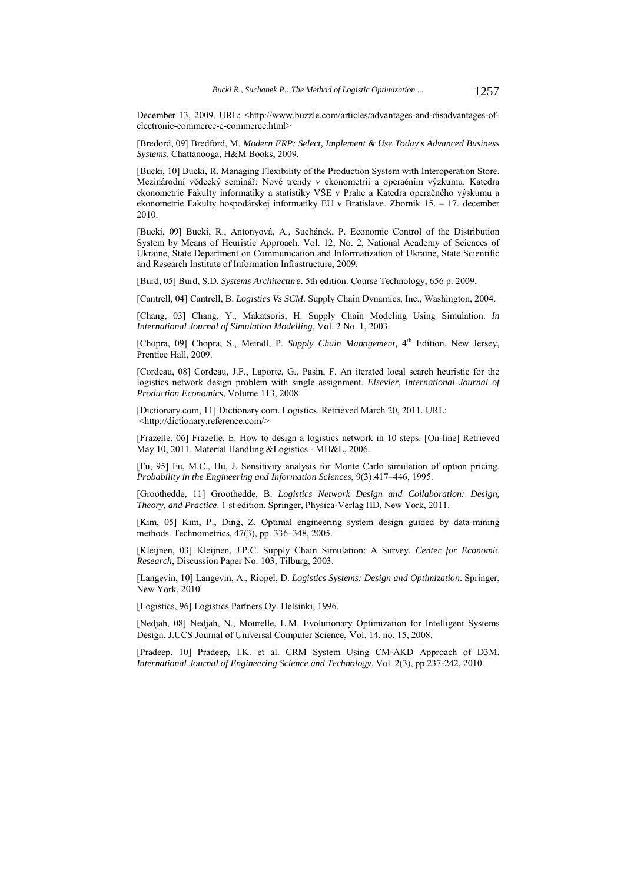December 13, 2009. URL: <http://www.buzzle.com/articles/advantages-and-disadvantages-ofelectronic-commerce-e-commerce.html>

[Bredord, 09] Bredford, M. *Modern ERP: Select, Implement & Use Today's Advanced Business Systems,* Chattanooga, H&M Books, 2009.

[Bucki, 10] Bucki, R. Managing Flexibility of the Production System with Interoperation Store. Mezinárodní vědecký seminář: Nové trendy v ekonometrii a operačním výzkumu. Katedra ekonometrie Fakulty informatiky a statistiky VŠE v Prahe a Katedra operačného výskumu a ekonometrie Fakulty hospodárskej informatiky EU v Bratislave. Zbornik 15. – 17. december 2010.

[Bucki, 09] Bucki, R., Antonyová, A., Suchánek, P. Economic Control of the Distribution System by Means of Heuristic Approach. Vol. 12, No. 2, National Academy of Sciences of Ukraine, State Department on Communication and Informatization of Ukraine, State Scientific and Research Institute of Information Infrastructure, 2009.

[Burd, 05] Burd, S.D. *Systems Architecture*. 5th edition. Course Technology, 656 p. 2009.

[Cantrell, 04] Cantrell, B. *Logistics Vs SCM*. Supply Chain Dynamics, Inc., Washington, 2004.

[Chang, 03] Chang, Y., Makatsoris, H. Supply Chain Modeling Using Simulation. *In International Journal of Simulation Modelling*, Vol. 2 No. 1, 2003.

[Chopra, 09] Chopra, S., Meindl, P. *Supply Chain Management*, 4<sup>th</sup> Edition. New Jersey, Prentice Hall, 2009.

[Cordeau, 08] Cordeau, J.F., Laporte, G., Pasin, F. An iterated local search heuristic for the logistics network design problem with single assignment. *Elsevier, International Journal of Production Economics*, Volume 113, 2008

[Dictionary.com, 11] Dictionary.com. Logistics. Retrieved March 20, 2011. URL: <http://dictionary.reference.com/>

[Frazelle, 06] Frazelle, E. How to design a logistics network in 10 steps. [On-line] Retrieved May 10, 2011. Material Handling &Logistics - MH&L, 2006.

[Fu, 95] Fu, M.C., Hu, J. Sensitivity analysis for Monte Carlo simulation of option pricing. *Probability in the Engineering and Information Sciences*, 9(3):417–446, 1995.

[Groothedde, 11] Groothedde, B. *Logistics Network Design and Collaboration: Design, Theory, and Practice*. 1 st edition. Springer, Physica-Verlag HD, New York, 2011.

[Kim, 05] Kim, P., Ding, Z. Optimal engineering system design guided by data-mining methods. Technometrics, 47(3), pp. 336–348, 2005.

[Kleijnen, 03] Kleijnen, J.P.C. Supply Chain Simulation: A Survey. *Center for Economic Research*, Discussion Paper No. 103, Tilburg, 2003.

[Langevin, 10] Langevin, A., Riopel, D. *Logistics Systems: Design and Optimization*. Springer, New York, 2010.

[Logistics, 96] Logistics Partners Oy. Helsinki, 1996.

[Nedjah, 08] Nedjah, N., Mourelle, L.M. Evolutionary Optimization for Intelligent Systems Design. J.UCS Journal of Universal Computer Science, Vol. 14, no. 15, 2008.

[Pradeep, 10] Pradeep, I.K. et al. CRM System Using CM-AKD Approach of D3M. *International Journal of Engineering Science and Technology*, Vol. 2(3), pp 237-242, 2010.